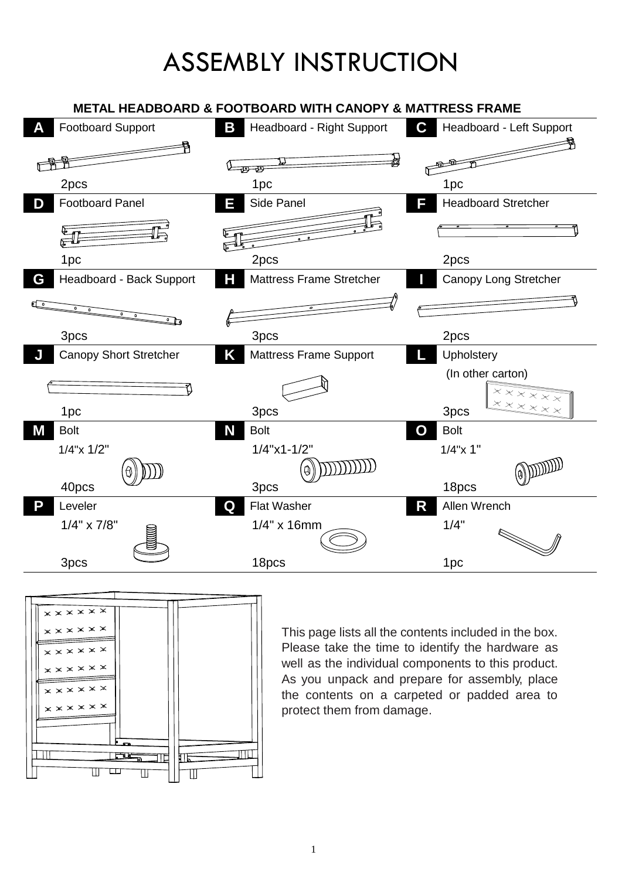## ASSEMBLY INSTRUCTION

## **E743B METAL HEADBOARD & FOOTBOARD WITH CANOPY & MATTRESS FRAME**





This page lists all the contents included in the box. Please take the time to identify the hardware as well as the individual components to this product. As you unpack and prepare for assembly, place the contents on a carpeted or padded area to protect them from damage.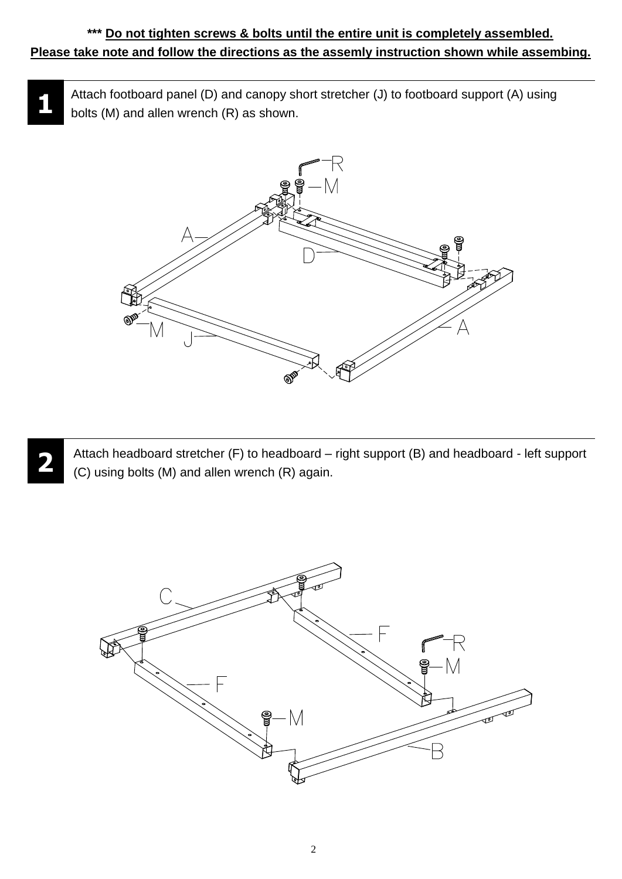## **\*\*\* Do not tighten screws & bolts until the entire unit is completely assembled. Please take note and follow the directions as the assemly instruction shown while assembing.**

**1** Attach footboard panel (D) and canopy short stretcher (J) to footboard support (A) using bolts (M) and allen wrench (R) as shown.





Attach headboard stretcher (F) to headboard – right support (B) and headboard - left support (C) using bolts (M) and allen wrench (R) again.

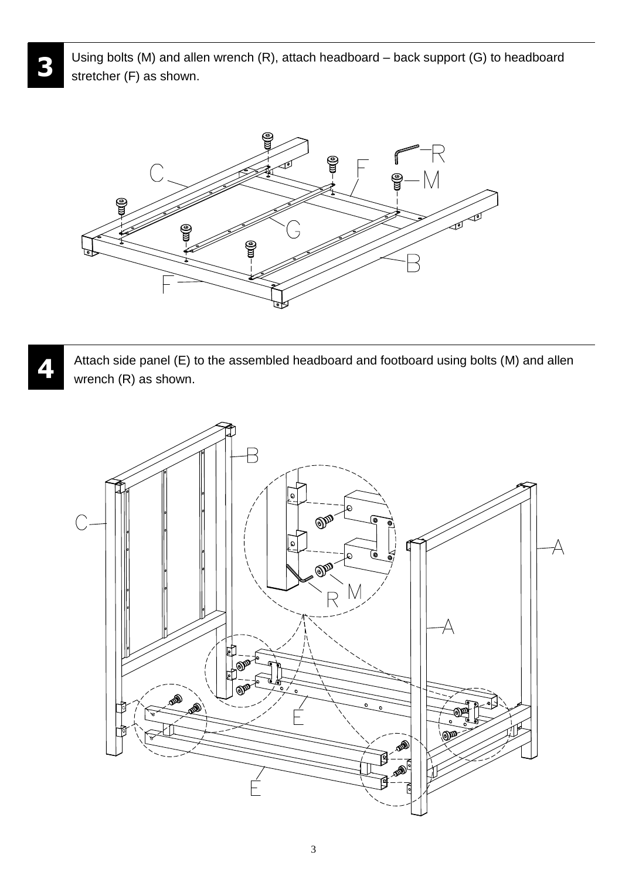Using bolts (M) and allen wrench (R), attach headboard – back support (G) to headboard stretcher (F) as shown.

**3**

**4**



Attach side panel (E) to the assembled headboard and footboard using bolts (M) and allen wrench (R) as shown.



3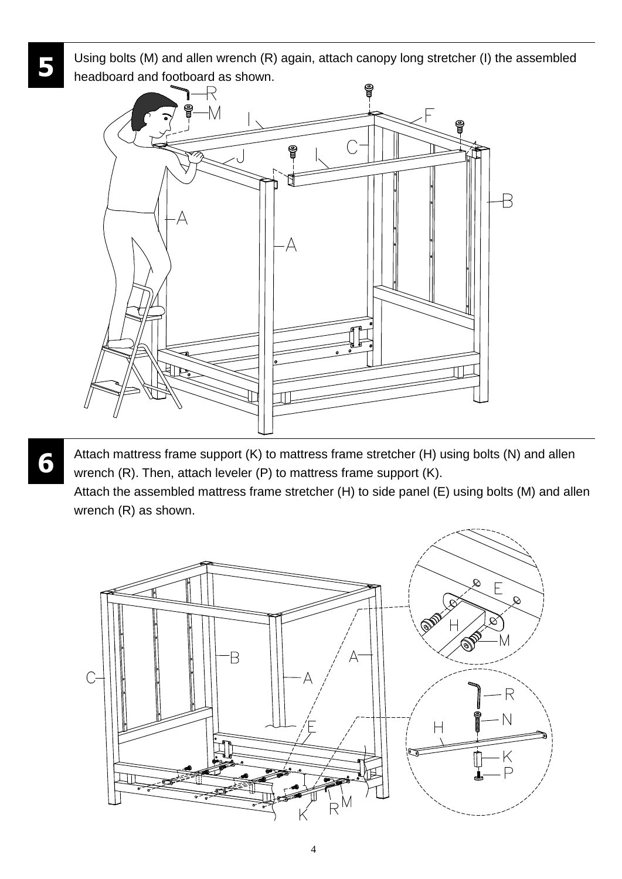Using bolts (M) and allen wrench (R) again, attach canopy long stretcher (I) the assembled headboard and footboard as shown.



Attach mattress frame support (K) to mattress frame stretcher (H) using bolts (N) and allen wrench (R). Then, attach leveler (P) to mattress frame support (K).

Attach the assembled mattress frame stretcher (H) to side panel (E) using bolts (M) and allen wrench (R) as shown.



**6**

**5**